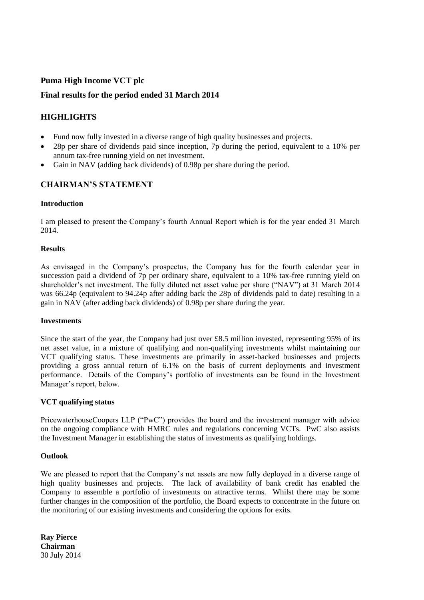# **Puma High Income VCT plc**

### **Final results for the period ended 31 March 2014**

# **HIGHLIGHTS**

- Fund now fully invested in a diverse range of high quality businesses and projects.
- 28p per share of dividends paid since inception, 7p during the period, equivalent to a 10% per annum tax-free running yield on net investment.
- Gain in NAV (adding back dividends) of 0.98p per share during the period.

# **CHAIRMAN'S STATEMENT**

### **Introduction**

I am pleased to present the Company's fourth Annual Report which is for the year ended 31 March 2014.

### **Results**

As envisaged in the Company's prospectus, the Company has for the fourth calendar year in succession paid a dividend of 7p per ordinary share, equivalent to a 10% tax-free running yield on shareholder's net investment. The fully diluted net asset value per share ("NAV") at 31 March 2014 was 66.24p (equivalent to 94.24p after adding back the 28p of dividends paid to date) resulting in a gain in NAV (after adding back dividends) of 0.98p per share during the year.

### **Investments**

Since the start of the year, the Company had just over £8.5 million invested, representing 95% of its net asset value, in a mixture of qualifying and non-qualifying investments whilst maintaining our VCT qualifying status. These investments are primarily in asset-backed businesses and projects providing a gross annual return of 6.1% on the basis of current deployments and investment performance. Details of the Company's portfolio of investments can be found in the Investment Manager's report, below.

### **VCT qualifying status**

PricewaterhouseCoopers LLP ("PwC") provides the board and the investment manager with advice on the ongoing compliance with HMRC rules and regulations concerning VCTs. PwC also assists the Investment Manager in establishing the status of investments as qualifying holdings.

### **Outlook**

We are pleased to report that the Company's net assets are now fully deployed in a diverse range of high quality businesses and projects. The lack of availability of bank credit has enabled the Company to assemble a portfolio of investments on attractive terms. Whilst there may be some further changes in the composition of the portfolio, the Board expects to concentrate in the future on the monitoring of our existing investments and considering the options for exits.

**Ray Pierce Chairman** 30 July 2014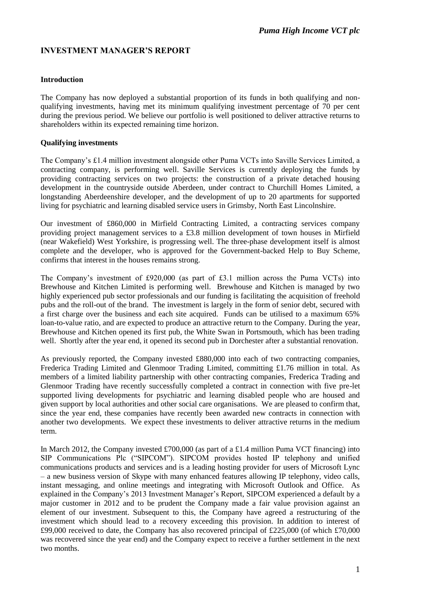# **INVESTMENT MANAGER'S REPORT**

### **Introduction**

The Company has now deployed a substantial proportion of its funds in both qualifying and nonqualifying investments, having met its minimum qualifying investment percentage of 70 per cent during the previous period. We believe our portfolio is well positioned to deliver attractive returns to shareholders within its expected remaining time horizon.

### **Qualifying investments**

The Company's £1.4 million investment alongside other Puma VCTs into Saville Services Limited, a contracting company, is performing well. Saville Services is currently deploying the funds by providing contracting services on two projects: the construction of a private detached housing development in the countryside outside Aberdeen, under contract to Churchill Homes Limited, a longstanding Aberdeenshire developer, and the development of up to 20 apartments for supported living for psychiatric and learning disabled service users in Grimsby, North East Lincolnshire.

Our investment of £860,000 in Mirfield Contracting Limited, a contracting services company providing project management services to a £3.8 million development of town houses in Mirfield (near Wakefield) West Yorkshire, is progressing well. The three-phase development itself is almost complete and the developer, who is approved for the Government-backed Help to Buy Scheme, confirms that interest in the houses remains strong.

The Company's investment of £920,000 (as part of £3.1 million across the Puma VCTs) into Brewhouse and Kitchen Limited is performing well. Brewhouse and Kitchen is managed by two highly experienced pub sector professionals and our funding is facilitating the acquisition of freehold pubs and the roll-out of the brand. The investment is largely in the form of senior debt, secured with a first charge over the business and each site acquired. Funds can be utilised to a maximum 65% loan-to-value ratio, and are expected to produce an attractive return to the Company. During the year, Brewhouse and Kitchen opened its first pub, the White Swan in Portsmouth, which has been trading well. Shortly after the year end, it opened its second pub in Dorchester after a substantial renovation.

As previously reported, the Company invested £880,000 into each of two contracting companies, Frederica Trading Limited and Glenmoor Trading Limited, committing £1.76 million in total. As members of a limited liability partnership with other contracting companies, Frederica Trading and Glenmoor Trading have recently successfully completed a contract in connection with five pre-let supported living developments for psychiatric and learning disabled people who are housed and given support by local authorities and other social care organisations. We are pleased to confirm that, since the year end, these companies have recently been awarded new contracts in connection with another two developments. We expect these investments to deliver attractive returns in the medium term.

In March 2012, the Company invested £700,000 (as part of a £1.4 million Puma VCT financing) into SIP Communications Plc ("SIPCOM"). SIPCOM provides hosted IP telephony and unified communications products and services and is a leading hosting provider for users of Microsoft Lync – a new business version of Skype with many enhanced features allowing IP telephony, video calls, instant messaging, and online meetings and integrating with Microsoft Outlook and Office. As explained in the Company's 2013 Investment Manager's Report, SIPCOM experienced a default by a major customer in 2012 and to be prudent the Company made a fair value provision against an element of our investment. Subsequent to this, the Company have agreed a restructuring of the investment which should lead to a recovery exceeding this provision. In addition to interest of £99,000 received to date, the Company has also recovered principal of £225,000 (of which £70,000) was recovered since the year end) and the Company expect to receive a further settlement in the next two months.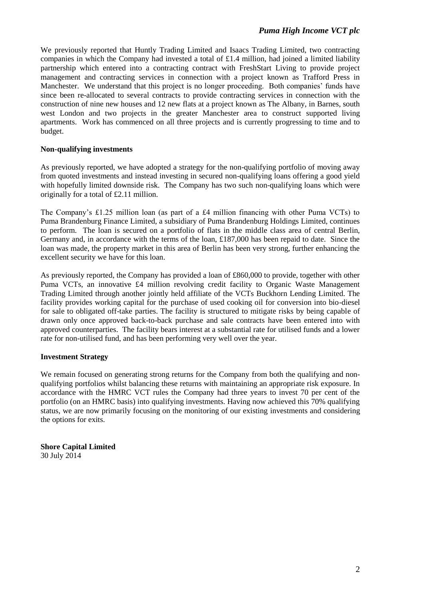We previously reported that Huntly Trading Limited and Isaacs Trading Limited, two contracting companies in which the Company had invested a total of  $£1.4$  million, had joined a limited liability partnership which entered into a contracting contract with FreshStart Living to provide project management and contracting services in connection with a project known as Trafford Press in Manchester. We understand that this project is no longer proceeding. Both companies' funds have since been re-allocated to several contracts to provide contracting services in connection with the construction of nine new houses and 12 new flats at a project known as The Albany, in Barnes, south west London and two projects in the greater Manchester area to construct supported living apartments. Work has commenced on all three projects and is currently progressing to time and to budget.

### **Non-qualifying investments**

As previously reported, we have adopted a strategy for the non-qualifying portfolio of moving away from quoted investments and instead investing in secured non-qualifying loans offering a good yield with hopefully limited downside risk. The Company has two such non-qualifying loans which were originally for a total of £2.11 million.

The Company's £1.25 million loan (as part of a £4 million financing with other Puma VCTs) to Puma Brandenburg Finance Limited, a subsidiary of Puma Brandenburg Holdings Limited, continues to perform. The loan is secured on a portfolio of flats in the middle class area of central Berlin, Germany and, in accordance with the terms of the loan, £187,000 has been repaid to date. Since the loan was made, the property market in this area of Berlin has been very strong, further enhancing the excellent security we have for this loan.

As previously reported, the Company has provided a loan of £860,000 to provide, together with other Puma VCTs, an innovative £4 million revolving credit facility to Organic Waste Management Trading Limited through another jointly held affiliate of the VCTs Buckhorn Lending Limited. The facility provides working capital for the purchase of used cooking oil for conversion into bio-diesel for sale to obligated off-take parties. The facility is structured to mitigate risks by being capable of drawn only once approved back-to-back purchase and sale contracts have been entered into with approved counterparties. The facility bears interest at a substantial rate for utilised funds and a lower rate for non-utilised fund, and has been performing very well over the year.

### **Investment Strategy**

We remain focused on generating strong returns for the Company from both the qualifying and nonqualifying portfolios whilst balancing these returns with maintaining an appropriate risk exposure. In accordance with the HMRC VCT rules the Company had three years to invest 70 per cent of the portfolio (on an HMRC basis) into qualifying investments. Having now achieved this 70% qualifying status, we are now primarily focusing on the monitoring of our existing investments and considering the options for exits.

**Shore Capital Limited** 30 July 2014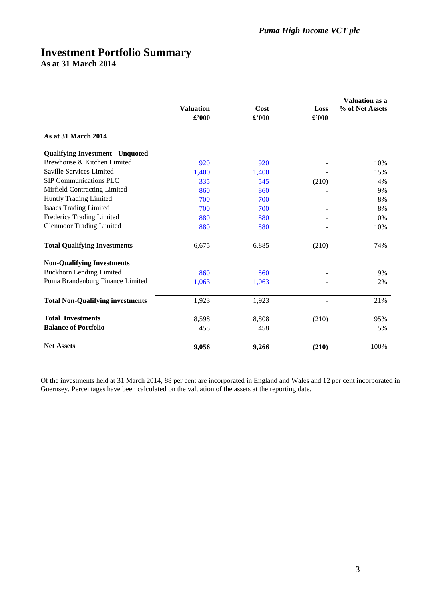# **Investment Portfolio Summary As at 31 March 2014**

|                                         |                  |       |       | Valuation as a  |
|-----------------------------------------|------------------|-------|-------|-----------------|
|                                         | <b>Valuation</b> | Cost  | Loss  | % of Net Assets |
|                                         | £'000            | £'000 | £'000 |                 |
| As at 31 March 2014                     |                  |       |       |                 |
| <b>Qualifying Investment - Unquoted</b> |                  |       |       |                 |
| Brewhouse & Kitchen Limited             | 920              | 920   |       | 10%             |
| Saville Services Limited                | 1,400            | 1,400 |       | 15%             |
| <b>SIP Communications PLC</b>           | 335              | 545   | (210) | 4%              |
| Mirfield Contracting Limited            | 860              | 860   |       | 9%              |
| Huntly Trading Limited                  | 700              | 700   |       | 8%              |
| <b>Isaacs Trading Limited</b>           | 700              | 700   |       | 8%              |
| Frederica Trading Limited               | 880              | 880   |       | 10%             |
| <b>Glenmoor Trading Limited</b>         | 880              | 880   |       | 10%             |
| <b>Total Qualifying Investments</b>     | 6,675            | 6,885 | (210) | 74%             |
| <b>Non-Qualifying Investments</b>       |                  |       |       |                 |
| <b>Buckhorn Lending Limited</b>         | 860              | 860   |       | 9%              |
| Puma Brandenburg Finance Limited        | 1,063            | 1,063 |       | 12%             |
| <b>Total Non-Qualifying investments</b> | 1,923            | 1,923 |       | 21%             |
| <b>Total Investments</b>                | 8,598            | 8,808 | (210) | 95%             |
| <b>Balance of Portfolio</b>             | 458              | 458   |       | 5%              |
| <b>Net Assets</b>                       | 9,056            | 9,266 | (210) | 100%            |

Of the investments held at 31 March 2014, 88 per cent are incorporated in England and Wales and 12 per cent incorporated in Guernsey. Percentages have been calculated on the valuation of the assets at the reporting date.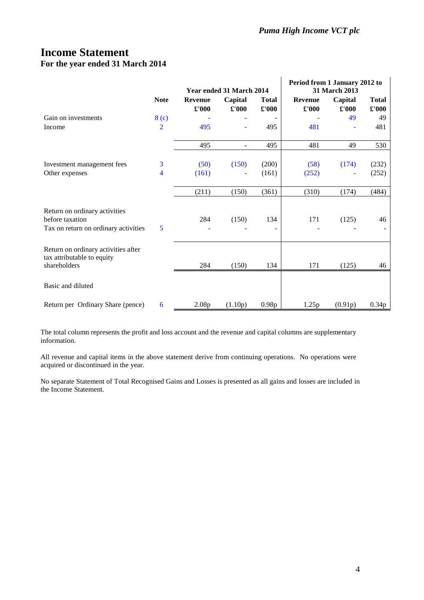# **Income Statement For the year ended 31 March 2014**

|                                                                   |                  | Year ended 31 March 2014        |                  |                                      | Period from 1 January 2012 to<br>31 March 2013 |                  |                       |
|-------------------------------------------------------------------|------------------|---------------------------------|------------------|--------------------------------------|------------------------------------------------|------------------|-----------------------|
|                                                                   | <b>Note</b>      | <b>Revenue</b><br>$\pounds 000$ | Capital<br>£'000 | <b>Total</b><br>$\pmb{\pounds}$ '000 | <b>Revenue</b><br>£'000                        | Capital<br>£'000 | <b>Total</b><br>£'000 |
| Gain on investments                                               | 8 <sub>(c)</sub> |                                 |                  |                                      |                                                | 49               | 49                    |
| Income                                                            | $\overline{2}$   | 495                             | Ξ                | 495                                  | 481                                            |                  | 481                   |
|                                                                   |                  | 495                             | ٠                | 495                                  | 481                                            | 49               | 530                   |
| Investment management fees                                        | 3                | (50)                            | (150)            | (200)                                | (58)                                           | (174)            | (232)                 |
| Other expenses                                                    | 4                | (161)                           |                  | (161)                                | (252)                                          |                  | (252)                 |
|                                                                   |                  | (211)                           | (150)            | (361)                                | (310)                                          | (174)            | (484)                 |
| Return on ordinary activities<br>before taxation                  |                  | 284                             |                  | 134                                  | 171                                            |                  | 46                    |
| Tax on return on ordinary activities                              | 5                |                                 | (150)            |                                      |                                                | (125)            |                       |
| Return on ordinary activities after<br>tax attributable to equity |                  |                                 |                  |                                      |                                                |                  |                       |
| shareholders                                                      |                  | 284                             | (150)            | 134                                  | 171                                            | (125)            | 46                    |
| Basic and diluted                                                 |                  |                                 |                  |                                      |                                                |                  |                       |
| Return per Ordinary Share (pence)                                 | 6                | 2.08p                           | (1.10p)          | 0.98p                                | 1.25p                                          | (0.91p)          | 0.34p                 |

The total column represents the profit and loss account and the revenue and capital columns are supplementary information.

All revenue and capital items in the above statement derive from continuing operations. No operations were acquired or discontinued in the year.

No separate Statement of Total Recognised Gains and Losses is presented as all gains and losses are included in the Income Statement.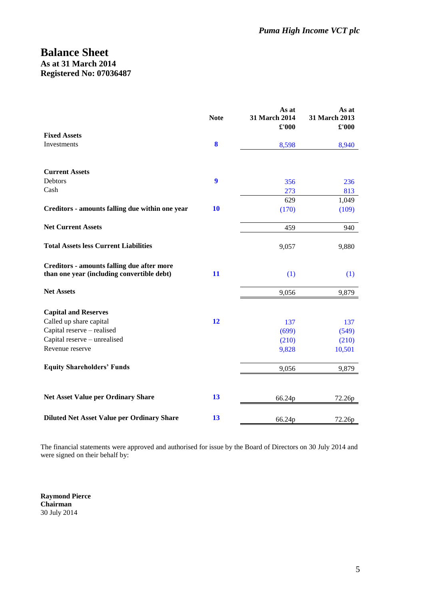# **Balance Sheet As at 31 March 2014 Registered No: 07036487**

|                                                                                          | <b>Note</b>      | As at<br>31 March 2014<br>£'000 | As at<br>31 March 2013<br>£'000 |
|------------------------------------------------------------------------------------------|------------------|---------------------------------|---------------------------------|
| <b>Fixed Assets</b>                                                                      |                  |                                 |                                 |
| Investments                                                                              | 8                | 8,598                           | 8,940                           |
| <b>Current Assets</b>                                                                    |                  |                                 |                                 |
| Debtors                                                                                  | $\boldsymbol{9}$ | 356                             | 236                             |
| Cash                                                                                     |                  | 273                             | 813                             |
|                                                                                          |                  | 629                             | 1,049                           |
| Creditors - amounts falling due within one year                                          | <b>10</b>        | (170)                           | (109)                           |
| <b>Net Current Assets</b>                                                                |                  | 459                             | 940                             |
| <b>Total Assets less Current Liabilities</b>                                             |                  | 9,057                           | 9,880                           |
| Creditors - amounts falling due after more<br>than one year (including convertible debt) | 11               | (1)                             | (1)                             |
| <b>Net Assets</b>                                                                        |                  | 9,056                           | 9,879                           |
| <b>Capital and Reserves</b>                                                              |                  |                                 |                                 |
| Called up share capital                                                                  | 12               | 137                             | 137                             |
| Capital reserve - realised                                                               |                  | (699)                           | (549)                           |
| Capital reserve - unrealised                                                             |                  | (210)                           | (210)                           |
| Revenue reserve                                                                          |                  | 9,828                           | 10,501                          |
| <b>Equity Shareholders' Funds</b>                                                        |                  | 9,056                           | 9,879                           |
|                                                                                          |                  |                                 |                                 |
| <b>Net Asset Value per Ordinary Share</b>                                                | 13               | 66.24p                          | 72.26p                          |
| <b>Diluted Net Asset Value per Ordinary Share</b>                                        | 13               | 66.24p                          | 72.26p                          |

The financial statements were approved and authorised for issue by the Board of Directors on 30 July 2014 and were signed on their behalf by:

**Raymond Pierce Chairman** 30 July 2014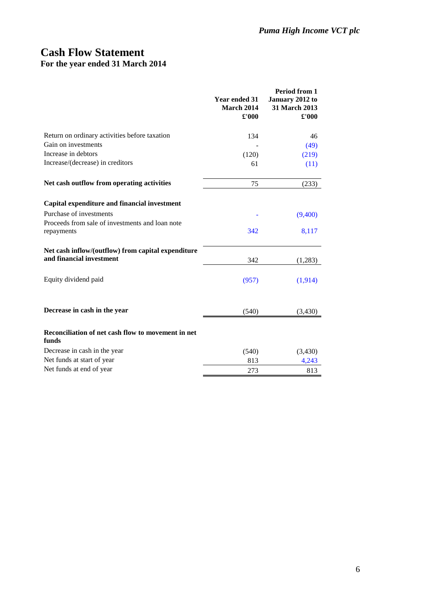# **Cash Flow Statement For the year ended 31 March 2014**

|                                                                                | <b>Year ended 31</b><br>March 2014<br>£'000 | Period from 1<br>January 2012 to<br>31 March 2013<br>$\pounds 000$ |
|--------------------------------------------------------------------------------|---------------------------------------------|--------------------------------------------------------------------|
| Return on ordinary activities before taxation                                  | 134                                         | 46                                                                 |
| Gain on investments                                                            |                                             | (49)                                                               |
| Increase in debtors                                                            | (120)                                       | (219)                                                              |
| Increase/(decrease) in creditors                                               | 61                                          | (11)                                                               |
| Net cash outflow from operating activities                                     | 75                                          | (233)                                                              |
| Capital expenditure and financial investment                                   |                                             |                                                                    |
| Purchase of investments                                                        |                                             | (9,400)                                                            |
| Proceeds from sale of investments and loan note<br>repayments                  | 342                                         | 8,117                                                              |
| Net cash inflow/(outflow) from capital expenditure<br>and financial investment | 342                                         | (1,283)                                                            |
| Equity dividend paid                                                           | (957)                                       | (1,914)                                                            |
| Decrease in cash in the year                                                   | (540)                                       | (3, 430)                                                           |
| Reconciliation of net cash flow to movement in net<br>funds                    |                                             |                                                                    |
| Decrease in cash in the year                                                   | (540)                                       | (3,430)                                                            |
| Net funds at start of year                                                     | 813                                         | 4,243                                                              |
| Net funds at end of year                                                       | 273                                         | 813                                                                |
|                                                                                |                                             |                                                                    |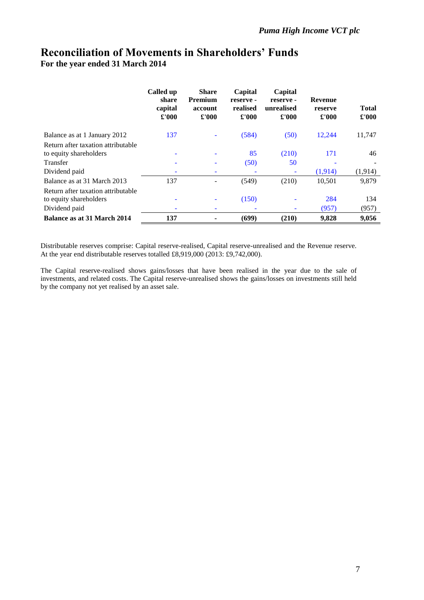# **Reconciliation of Movements in Shareholders' Funds For the year ended 31 March 2014**

|                                                              | Called up<br>share<br>capital<br>$\pounds 000$ | <b>Share</b><br><b>Premium</b><br>account<br>£'000 | Capital<br>reserve -<br>realised<br>£'000 | Capital<br>reserve -<br>unrealised<br>$\pounds 000$ | <b>Revenue</b><br>reserve<br>$\pounds 000$ | <b>Total</b><br>£'000 |
|--------------------------------------------------------------|------------------------------------------------|----------------------------------------------------|-------------------------------------------|-----------------------------------------------------|--------------------------------------------|-----------------------|
| Balance as at 1 January 2012                                 | 137                                            | ۰                                                  | (584)                                     | (50)                                                | 12,244                                     | 11,747                |
| Return after taxation attributable                           |                                                |                                                    |                                           |                                                     |                                            |                       |
| to equity shareholders                                       |                                                |                                                    | 85                                        | (210)                                               | 171                                        | 46                    |
| Transfer                                                     | ۰                                              |                                                    | (50)                                      | 50                                                  |                                            |                       |
| Dividend paid                                                | ۳                                              | ۰                                                  |                                           |                                                     | (1,914)                                    | (1,914)               |
| Balance as at 31 March 2013                                  | 137                                            |                                                    | (549)                                     | (210)                                               | 10,501                                     | 9,879                 |
| Return after taxation attributable<br>to equity shareholders | -                                              |                                                    | (150)                                     |                                                     | 284                                        | 134                   |
| Dividend paid                                                | ۰                                              |                                                    |                                           |                                                     | (957)                                      | (957)                 |
| Balance as at 31 March 2014                                  | 137                                            |                                                    | (699)                                     | (210)                                               | 9,828                                      | 9,056                 |

Distributable reserves comprise: Capital reserve-realised, Capital reserve-unrealised and the Revenue reserve. At the year end distributable reserves totalled £8,919,000 (2013: £9,742,000).

The Capital reserve-realised shows gains/losses that have been realised in the year due to the sale of investments, and related costs. The Capital reserve-unrealised shows the gains/losses on investments still held by the company not yet realised by an asset sale.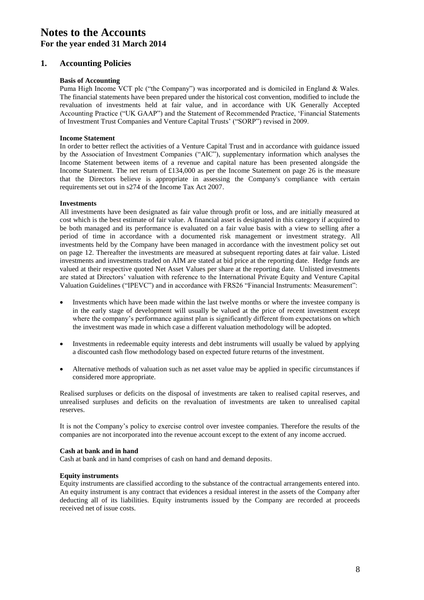### **1. Accounting Policies**

### **Basis of Accounting**

Puma High Income VCT plc ("the Company") was incorporated and is domiciled in England & Wales. The financial statements have been prepared under the historical cost convention, modified to include the revaluation of investments held at fair value, and in accordance with UK Generally Accepted Accounting Practice ("UK GAAP") and the Statement of Recommended Practice, 'Financial Statements of Investment Trust Companies and Venture Capital Trusts' ("SORP") revised in 2009.

#### **Income Statement**

In order to better reflect the activities of a Venture Capital Trust and in accordance with guidance issued by the Association of Investment Companies ("AIC"), supplementary information which analyses the Income Statement between items of a revenue and capital nature has been presented alongside the Income Statement. The net return of £134,000 as per the Income Statement on page 26 is the measure that the Directors believe is appropriate in assessing the Company's compliance with certain requirements set out in s274 of the Income Tax Act 2007.

#### **Investments**

All investments have been designated as fair value through profit or loss, and are initially measured at cost which is the best estimate of fair value. A financial asset is designated in this category if acquired to be both managed and its performance is evaluated on a fair value basis with a view to selling after a period of time in accordance with a documented risk management or investment strategy. All investments held by the Company have been managed in accordance with the investment policy set out on page 12. Thereafter the investments are measured at subsequent reporting dates at fair value. Listed investments and investments traded on AIM are stated at bid price at the reporting date. Hedge funds are valued at their respective quoted Net Asset Values per share at the reporting date. Unlisted investments are stated at Directors' valuation with reference to the International Private Equity and Venture Capital Valuation Guidelines ("IPEVC") and in accordance with FRS26 "Financial Instruments: Measurement":

- Investments which have been made within the last twelve months or where the investee company is in the early stage of development will usually be valued at the price of recent investment except where the company's performance against plan is significantly different from expectations on which the investment was made in which case a different valuation methodology will be adopted.
- Investments in redeemable equity interests and debt instruments will usually be valued by applying a discounted cash flow methodology based on expected future returns of the investment.
- Alternative methods of valuation such as net asset value may be applied in specific circumstances if considered more appropriate.

Realised surpluses or deficits on the disposal of investments are taken to realised capital reserves, and unrealised surpluses and deficits on the revaluation of investments are taken to unrealised capital reserves.

It is not the Company's policy to exercise control over investee companies. Therefore the results of the companies are not incorporated into the revenue account except to the extent of any income accrued.

#### **Cash at bank and in hand**

Cash at bank and in hand comprises of cash on hand and demand deposits.

#### **Equity instruments**

Equity instruments are classified according to the substance of the contractual arrangements entered into. An equity instrument is any contract that evidences a residual interest in the assets of the Company after deducting all of its liabilities. Equity instruments issued by the Company are recorded at proceeds received net of issue costs.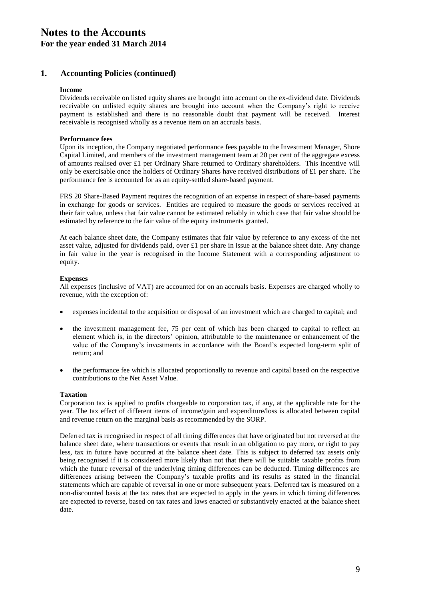# **1. Accounting Policies (continued)**

### **Income**

Dividends receivable on listed equity shares are brought into account on the ex-dividend date. Dividends receivable on unlisted equity shares are brought into account when the Company's right to receive payment is established and there is no reasonable doubt that payment will be received. Interest receivable is recognised wholly as a revenue item on an accruals basis.

### **Performance fees**

Upon its inception, the Company negotiated performance fees payable to the Investment Manager, Shore Capital Limited, and members of the investment management team at 20 per cent of the aggregate excess of amounts realised over £1 per Ordinary Share returned to Ordinary shareholders. This incentive will only be exercisable once the holders of Ordinary Shares have received distributions of  $£1$  per share. The performance fee is accounted for as an equity-settled share-based payment.

FRS 20 Share-Based Payment requires the recognition of an expense in respect of share-based payments in exchange for goods or services. Entities are required to measure the goods or services received at their fair value, unless that fair value cannot be estimated reliably in which case that fair value should be estimated by reference to the fair value of the equity instruments granted.

At each balance sheet date, the Company estimates that fair value by reference to any excess of the net asset value, adjusted for dividends paid, over  $£1$  per share in issue at the balance sheet date. Any change in fair value in the year is recognised in the Income Statement with a corresponding adjustment to equity.

### **Expenses**

All expenses (inclusive of VAT) are accounted for on an accruals basis. Expenses are charged wholly to revenue, with the exception of:

- expenses incidental to the acquisition or disposal of an investment which are charged to capital; and
- the investment management fee, 75 per cent of which has been charged to capital to reflect an element which is, in the directors' opinion, attributable to the maintenance or enhancement of the value of the Company's investments in accordance with the Board's expected long-term split of return; and
- the performance fee which is allocated proportionally to revenue and capital based on the respective contributions to the Net Asset Value.

### **Taxation**

Corporation tax is applied to profits chargeable to corporation tax, if any, at the applicable rate for the year. The tax effect of different items of income/gain and expenditure/loss is allocated between capital and revenue return on the marginal basis as recommended by the SORP.

Deferred tax is recognised in respect of all timing differences that have originated but not reversed at the balance sheet date, where transactions or events that result in an obligation to pay more, or right to pay less, tax in future have occurred at the balance sheet date. This is subject to deferred tax assets only being recognised if it is considered more likely than not that there will be suitable taxable profits from which the future reversal of the underlying timing differences can be deducted. Timing differences are differences arising between the Company's taxable profits and its results as stated in the financial statements which are capable of reversal in one or more subsequent years. Deferred tax is measured on a non-discounted basis at the tax rates that are expected to apply in the years in which timing differences are expected to reverse, based on tax rates and laws enacted or substantively enacted at the balance sheet date.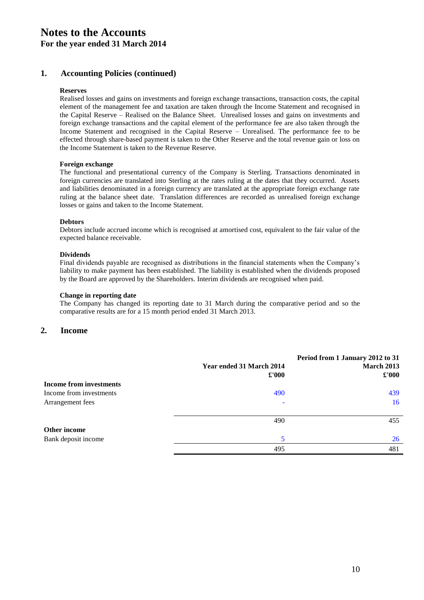# **1. Accounting Policies (continued)**

### **Reserves**

Realised losses and gains on investments and foreign exchange transactions, transaction costs, the capital element of the management fee and taxation are taken through the Income Statement and recognised in the Capital Reserve – Realised on the Balance Sheet. Unrealised losses and gains on investments and foreign exchange transactions and the capital element of the performance fee are also taken through the Income Statement and recognised in the Capital Reserve – Unrealised. The performance fee to be effected through share-based payment is taken to the Other Reserve and the total revenue gain or loss on the Income Statement is taken to the Revenue Reserve.

### **Foreign exchange**

The functional and presentational currency of the Company is Sterling. Transactions denominated in foreign currencies are translated into Sterling at the rates ruling at the dates that they occurred. Assets and liabilities denominated in a foreign currency are translated at the appropriate foreign exchange rate ruling at the balance sheet date. Translation differences are recorded as unrealised foreign exchange losses or gains and taken to the Income Statement.

#### **Debtors**

Debtors include accrued income which is recognised at amortised cost, equivalent to the fair value of the expected balance receivable.

### **Dividends**

Final dividends payable are recognised as distributions in the financial statements when the Company's liability to make payment has been established. The liability is established when the dividends proposed by the Board are approved by the Shareholders. Interim dividends are recognised when paid.

### **Change in reporting date**

The Company has changed its reporting date to 31 March during the comparative period and so the comparative results are for a 15 month period ended 31 March 2013.

### **2. Income**

|                                | Year ended 31 March 2014<br>$\pounds 000$ | Period from 1 January 2012 to 31<br><b>March 2013</b><br>$\pounds 000$ |
|--------------------------------|-------------------------------------------|------------------------------------------------------------------------|
| <b>Income from investments</b> |                                           |                                                                        |
| Income from investments        | 490                                       | 439                                                                    |
| Arrangement fees               |                                           | 16                                                                     |
|                                | 490                                       | 455                                                                    |
| Other income                   |                                           |                                                                        |
| Bank deposit income            | 5                                         | 26                                                                     |
|                                | 495                                       | 481                                                                    |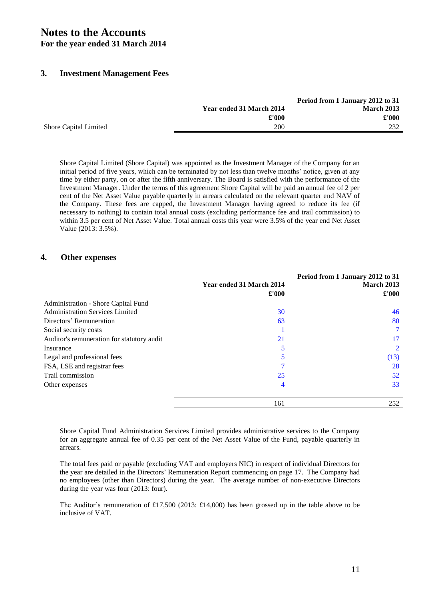### **3. Investment Management Fees**

|                              |                          | Period from 1 January 2012 to 31 |
|------------------------------|--------------------------|----------------------------------|
|                              | Year ended 31 March 2014 | <b>March 2013</b>                |
|                              | £'000                    | £'000                            |
| <b>Shore Capital Limited</b> | 200                      | 232                              |

Shore Capital Limited (Shore Capital) was appointed as the Investment Manager of the Company for an initial period of five years, which can be terminated by not less than twelve months' notice, given at any time by either party, on or after the fifth anniversary. The Board is satisfied with the performance of the Investment Manager. Under the terms of this agreement Shore Capital will be paid an annual fee of 2 per cent of the Net Asset Value payable quarterly in arrears calculated on the relevant quarter end NAV of the Company. These fees are capped, the Investment Manager having agreed to reduce its fee (if necessary to nothing) to contain total annual costs (excluding performance fee and trail commission) to within 3.5 per cent of Net Asset Value. Total annual costs this year were 3.5% of the year end Net Asset Value (2013: 3.5%).

### **4. Other expenses**

|                                            | Year ended 31 March 2014<br>$\pounds 000$ | Period from 1 January 2012 to 31<br><b>March 2013</b><br>$\pounds 000$ |
|--------------------------------------------|-------------------------------------------|------------------------------------------------------------------------|
| Administration - Shore Capital Fund        |                                           |                                                                        |
| <b>Administration Services Limited</b>     | 30                                        | 46                                                                     |
| Directors' Remuneration                    | 63                                        | 80                                                                     |
| Social security costs                      |                                           | $\tau$                                                                 |
| Auditor's remuneration for statutory audit | 21                                        | 17                                                                     |
| Insurance                                  |                                           | 2                                                                      |
| Legal and professional fees                |                                           | (13)                                                                   |
| FSA, LSE and registrar fees                |                                           | 28                                                                     |
| Trail commission                           | 25                                        | 52                                                                     |
| Other expenses                             | 4                                         | 33                                                                     |
|                                            | 161                                       | 252                                                                    |

Shore Capital Fund Administration Services Limited provides administrative services to the Company for an aggregate annual fee of 0.35 per cent of the Net Asset Value of the Fund, payable quarterly in arrears.

The total fees paid or payable (excluding VAT and employers NIC) in respect of individual Directors for the year are detailed in the Directors' Remuneration Report commencing on page 17. The Company had no employees (other than Directors) during the year. The average number of non-executive Directors during the year was four (2013: four).

The Auditor's remuneration of £17,500 (2013: £14,000) has been grossed up in the table above to be inclusive of VAT.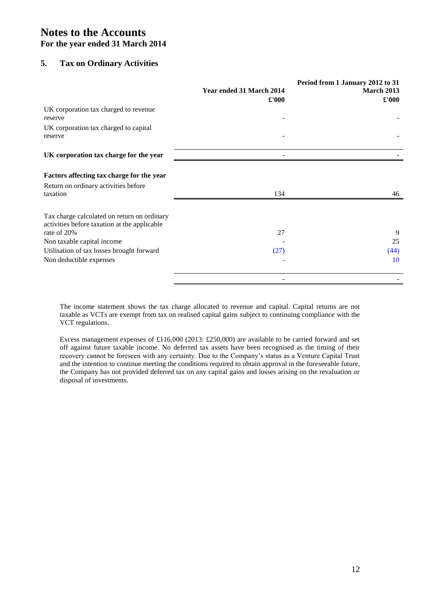# **5. Tax on Ordinary Activities**

|                                                                                             | Year ended 31 March 2014<br>$\pounds 000$ | Period from 1 January 2012 to 31<br>March 2013<br>$\pounds 000$ |
|---------------------------------------------------------------------------------------------|-------------------------------------------|-----------------------------------------------------------------|
| UK corporation tax charged to revenue<br>reserve                                            |                                           |                                                                 |
| UK corporation tax charged to capital<br>reserve                                            |                                           |                                                                 |
| UK corporation tax charge for the year                                                      |                                           |                                                                 |
| Factors affecting tax charge for the year<br>Return on ordinary activities before           |                                           |                                                                 |
| taxation                                                                                    | 134                                       | 46                                                              |
| Tax charge calculated on return on ordinary<br>activities before taxation at the applicable |                                           |                                                                 |
| rate of 20%                                                                                 | 27                                        | 9                                                               |
| Non taxable capital income                                                                  |                                           | 25                                                              |
| Utilisation of tax losses brought forward                                                   | (27)                                      | (44)                                                            |
| Non deductible expenses                                                                     |                                           | 10                                                              |
|                                                                                             |                                           |                                                                 |

The income statement shows the tax charge allocated to revenue and capital. Capital returns are not taxable as VCTs are exempt from tax on realised capital gains subject to continuing compliance with the VCT regulations.

Excess management expenses of £116,000 (2013: £250,000) are available to be carried forward and set off against future taxable income. No deferred tax assets have been recognised as the timing of their recovery cannot be foreseen with any certainty. Due to the Company's status as a Venture Capital Trust and the intention to continue meeting the conditions required to obtain approval in the foreseeable future, the Company has not provided deferred tax on any capital gains and losses arising on the revaluation or disposal of investments.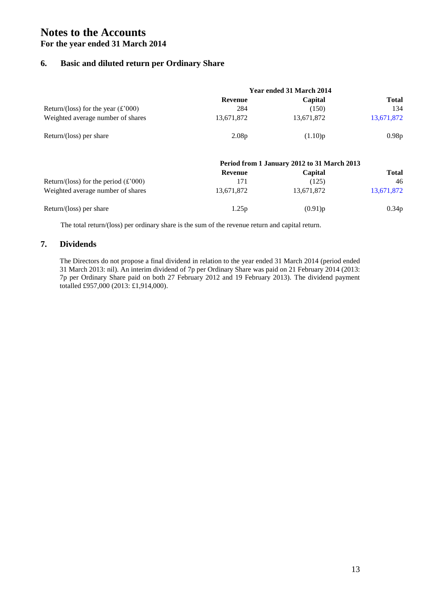# **6. Basic and diluted return per Ordinary Share**

|                                                      |                   | Year ended 31 March 2014                    |              |
|------------------------------------------------------|-------------------|---------------------------------------------|--------------|
|                                                      | <b>Revenue</b>    | Capital                                     | <b>Total</b> |
| Return/(loss) for the year $(\text{\pounds}^2000)$   | 284               | (150)                                       | 134          |
| Weighted average number of shares                    | 13,671,872        | 13,671,872                                  | 13,671,872   |
| Return/(loss) per share                              | 2.08 <sub>p</sub> | (1.10)p                                     | 0.98p        |
|                                                      |                   | Period from 1 January 2012 to 31 March 2013 |              |
|                                                      | <b>Revenue</b>    | Capital                                     | <b>Total</b> |
| Return/(loss) for the period $(\text{\pounds}^2000)$ | 171               | (125)                                       | 46           |
| Weighted average number of shares                    | 13,671,872        | 13,671,872                                  | 13,671,872   |
| Return/(loss) per share                              | 1.25p             | (0.91)p                                     | 0.34p        |

The total return/(loss) per ordinary share is the sum of the revenue return and capital return.

### **7. Dividends**

The Directors do not propose a final dividend in relation to the year ended 31 March 2014 (period ended 31 March 2013: nil). An interim dividend of 7p per Ordinary Share was paid on 21 February 2014 (2013: 7p per Ordinary Share paid on both 27 February 2012 and 19 February 2013). The dividend payment totalled £957,000 (2013: £1,914,000).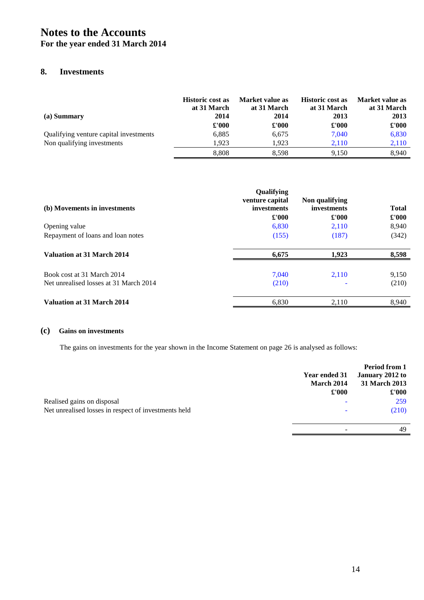# **Notes to the Accounts**

# **For the year ended 31 March 2014**

# **8. Investments**

| (a) Summary                            | <b>Historic cost as</b><br>at 31 March<br>2014 | Market value as<br>at 31 March<br>2014 | <b>Historic cost as</b><br>at 31 March<br>2013 | Market value as<br>at 31 March<br>2013 |
|----------------------------------------|------------------------------------------------|----------------------------------------|------------------------------------------------|----------------------------------------|
|                                        | £'000                                          | $\pounds 000$                          | £'000                                          | $\pounds 000$                          |
| Qualifying venture capital investments | 6,885                                          | 6,675                                  | 7.040                                          | 6,830                                  |
| Non qualifying investments             | 1.923                                          | 1.923                                  | 2.110                                          | 2,110                                  |
|                                        | 8.808                                          | 8.598                                  | 9.150                                          | 8.940                                  |

| (b) Movements in investments                                         | Qualifying<br>venture capital<br>investments<br>$\pounds 000$ | Non qualifying<br>investments<br>£'000 | <b>Total</b><br>£'000 |
|----------------------------------------------------------------------|---------------------------------------------------------------|----------------------------------------|-----------------------|
| Opening value                                                        | 6,830                                                         | 2.110                                  | 8,940                 |
| Repayment of loans and loan notes                                    | (155)                                                         | (187)                                  | (342)                 |
| Valuation at 31 March 2014                                           | 6,675                                                         | 1,923                                  | 8,598                 |
| Book cost at 31 March 2014<br>Net unrealised losses at 31 March 2014 | 7.040<br>(210)                                                | 2.110                                  | 9,150<br>(210)        |
| Valuation at 31 March 2014                                           | 6,830                                                         | 2,110                                  | 8,940                 |

### **(c) Gains on investments**

The gains on investments for the year shown in the Income Statement on page 26 is analysed as follows:

|                                                      | Year ended 31<br>March 2014 | Period from 1<br>January 2012 to<br>31 March 2013 |
|------------------------------------------------------|-----------------------------|---------------------------------------------------|
| Realised gains on disposal                           | $\pounds 000$               | $\pounds 000$<br>259                              |
|                                                      |                             |                                                   |
| Net unrealised losses in respect of investments held |                             | (210)                                             |
|                                                      |                             | 49                                                |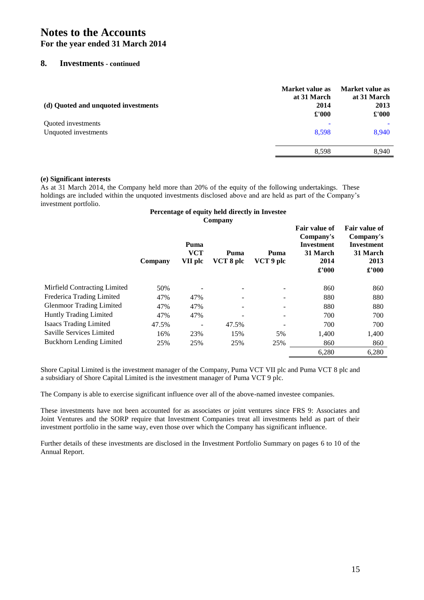### **8. Investments - continued**

| (d) Quoted and unquoted investments | Market value as<br>at 31 March<br>2014<br>£'000 | Market value as<br>at 31 March<br>2013<br>$\pounds 000$ |
|-------------------------------------|-------------------------------------------------|---------------------------------------------------------|
| Quoted investments                  | $\overline{\phantom{0}}$                        |                                                         |
| Unquoted investments                | 8,598                                           | 8,940                                                   |
|                                     | 8.598                                           | 8,940                                                   |

### **(e) Significant interests**

As at 31 March 2014, the Company held more than 20% of the equity of the following undertakings. These holdings are included within the unquoted investments disclosed above and are held as part of the Company's investment portfolio.

### **Percentage of equity held directly in Investee Company**

|                                 | Company | Puma<br><b>VCT</b><br>VII plc | Puma<br>VCT 8 plc | Puma<br>VCT 9 plc | <b>Fair value of</b><br>Company's<br><b>Investment</b><br>31 March<br>2014<br>£'000 | <b>Fair value of</b><br>Company's<br><b>Investment</b><br>31 March<br>2013<br>$\pounds$ '000 |
|---------------------------------|---------|-------------------------------|-------------------|-------------------|-------------------------------------------------------------------------------------|----------------------------------------------------------------------------------------------|
| Mirfield Contracting Limited    | 50%     |                               |                   |                   | 860                                                                                 | 860                                                                                          |
| Frederica Trading Limited       | 47%     | 47%                           |                   |                   | 880                                                                                 | 880                                                                                          |
| <b>Glenmoor Trading Limited</b> | 47%     | 47%                           | -                 |                   | 880                                                                                 | 880                                                                                          |
| Huntly Trading Limited          | 47%     | 47%                           |                   | -                 | 700                                                                                 | 700                                                                                          |
| <b>Isaacs Trading Limited</b>   | 47.5%   | $\qquad \qquad -$             | 47.5%             |                   | 700                                                                                 | 700                                                                                          |
| Saville Services Limited        | 16%     | 23%                           | 15%               | 5%                | 1.400                                                                               | 1,400                                                                                        |
| <b>Buckhorn Lending Limited</b> | 25%     | 25%                           | 25%               | 25%               | 860                                                                                 | 860                                                                                          |
|                                 |         |                               |                   |                   | 6,280                                                                               | 6,280                                                                                        |

Shore Capital Limited is the investment manager of the Company, Puma VCT VII plc and Puma VCT 8 plc and a subsidiary of Shore Capital Limited is the investment manager of Puma VCT 9 plc.

The Company is able to exercise significant influence over all of the above-named investee companies.

These investments have not been accounted for as associates or joint ventures since FRS 9: Associates and Joint Ventures and the SORP require that Investment Companies treat all investments held as part of their investment portfolio in the same way, even those over which the Company has significant influence.

Further details of these investments are disclosed in the Investment Portfolio Summary on pages 6 to 10 of the Annual Report.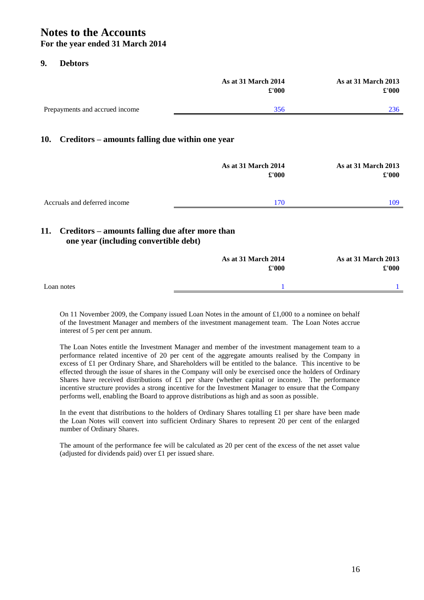## **9. Debtors**

|                                | <b>As at 31 March 2014</b><br>£'000 | <b>As at 31 March 2013</b><br>£'000 |
|--------------------------------|-------------------------------------|-------------------------------------|
| Prepayments and accrued income | 356                                 | 236                                 |

## **10. Creditors – amounts falling due within one year**

|                              | As at 31 March 2014<br>$\pounds$ '000 | <b>As at 31 March 2013</b><br>$\pounds 000$ |
|------------------------------|---------------------------------------|---------------------------------------------|
| Accruals and deferred income | 170                                   | 109                                         |
|                              |                                       |                                             |

# **11. Creditors – amounts falling due after more than one year (including convertible debt)**

|            | £'000 | As at 31 March 2013<br>$\pounds 000$ |
|------------|-------|--------------------------------------|
| Loan notes |       |                                      |

On 11 November 2009, the Company issued Loan Notes in the amount of £1,000 to a nominee on behalf of the Investment Manager and members of the investment management team. The Loan Notes accrue interest of 5 per cent per annum.

The Loan Notes entitle the Investment Manager and member of the investment management team to a performance related incentive of 20 per cent of the aggregate amounts realised by the Company in excess of £1 per Ordinary Share, and Shareholders will be entitled to the balance. This incentive to be effected through the issue of shares in the Company will only be exercised once the holders of Ordinary Shares have received distributions of £1 per share (whether capital or income). The performance incentive structure provides a strong incentive for the Investment Manager to ensure that the Company performs well, enabling the Board to approve distributions as high and as soon as possible.

In the event that distributions to the holders of Ordinary Shares totalling £1 per share have been made the Loan Notes will convert into sufficient Ordinary Shares to represent 20 per cent of the enlarged number of Ordinary Shares.

The amount of the performance fee will be calculated as 20 per cent of the excess of the net asset value (adjusted for dividends paid) over £1 per issued share.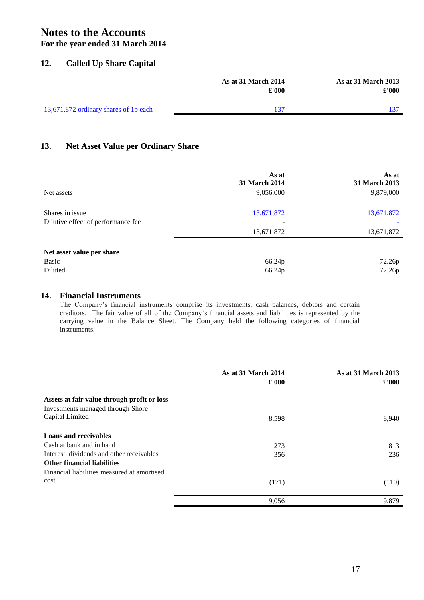# **Notes to the Accounts**

# **For the year ended 31 March 2014**

## **12. Called Up Share Capital**

|                                       | <b>As at 31 March 2014</b><br>$\pounds 000$ | <b>As at 31 March 2013</b><br>£'000 |
|---------------------------------------|---------------------------------------------|-------------------------------------|
| 13,671,872 ordinary shares of 1p each | 137                                         |                                     |

# **13. Net Asset Value per Ordinary Share**

|                                    | As at<br><b>31 March 2014</b> | As at<br>31 March 2013 |
|------------------------------------|-------------------------------|------------------------|
| Net assets                         | 9,056,000                     | 9,879,000              |
| Shares in issue                    | 13,671,872                    | 13,671,872             |
| Dilutive effect of performance fee |                               |                        |
|                                    | 13,671,872                    | 13,671,872             |
| Net asset value per share          |                               |                        |
| Basic                              | 66.24p                        | 72.26p                 |
| Diluted                            | 66.24p                        | 72.26p                 |

# **14. Financial Instruments**

The Company's financial instruments comprise its investments, cash balances, debtors and certain creditors. The fair value of all of the Company's financial assets and liabilities is represented by the carrying value in the Balance Sheet. The Company held the following categories of financial instruments.

|                                             | As at 31 March 2014<br>$\pounds 000$ | <b>As at 31 March 2013</b><br>$\pounds 000$ |
|---------------------------------------------|--------------------------------------|---------------------------------------------|
| Assets at fair value through profit or loss |                                      |                                             |
| Investments managed through Shore           |                                      |                                             |
| Capital Limited                             | 8,598                                | 8,940                                       |
| <b>Loans and receivables</b>                |                                      |                                             |
| Cash at bank and in hand                    | 273                                  | 813                                         |
| Interest, dividends and other receivables   | 356                                  | 236                                         |
| <b>Other financial liabilities</b>          |                                      |                                             |
| Financial liabilities measured at amortised |                                      |                                             |
| cost                                        | (171)                                | (110)                                       |
|                                             | 9,056                                | 9,879                                       |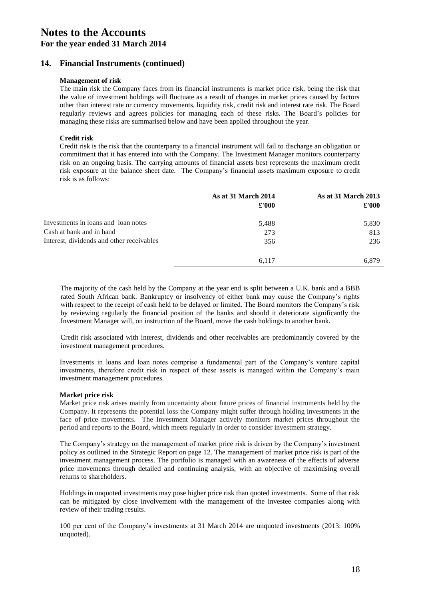## **14. Financial Instruments (continued)**

### **Management of risk**

The main risk the Company faces from its financial instruments is market price risk, being the risk that the value of investment holdings will fluctuate as a result of changes in market prices caused by factors other than interest rate or currency movements, liquidity risk, credit risk and interest rate risk. The Board regularly reviews and agrees policies for managing each of these risks. The Board's policies for managing these risks are summarised below and have been applied throughout the year.

### **Credit risk**

Credit risk is the risk that the counterparty to a financial instrument will fail to discharge an obligation or commitment that it has entered into with the Company. The Investment Manager monitors counterparty risk on an ongoing basis. The carrying amounts of financial assets best represents the maximum credit risk exposure at the balance sheet date. The Company's financial assets maximum exposure to credit risk is as follows:

|                                           | As at 31 March 2014<br>$\pounds 000$ | <b>As at 31 March 2013</b><br>$\pounds 000$ |
|-------------------------------------------|--------------------------------------|---------------------------------------------|
| Investments in loans and loan notes       | 5,488                                | 5,830                                       |
| Cash at bank and in hand                  | 273                                  | 813                                         |
| Interest, dividends and other receivables | 356                                  | 236                                         |
|                                           | 6.117                                | 6.879                                       |

The majority of the cash held by the Company at the year end is split between a U.K. bank and a BBB rated South African bank. Bankruptcy or insolvency of either bank may cause the Company's rights with respect to the receipt of cash held to be delayed or limited. The Board monitors the Company's risk by reviewing regularly the financial position of the banks and should it deteriorate significantly the Investment Manager will, on instruction of the Board, move the cash holdings to another bank.

Credit risk associated with interest, dividends and other receivables are predominantly covered by the investment management procedures.

Investments in loans and loan notes comprise a fundamental part of the Company's venture capital investments, therefore credit risk in respect of these assets is managed within the Company's main investment management procedures.

### **Market price risk**

Market price risk arises mainly from uncertainty about future prices of financial instruments held by the Company. It represents the potential loss the Company might suffer through holding investments in the face of price movements. The Investment Manager actively monitors market prices throughout the period and reports to the Board, which meets regularly in order to consider investment strategy.

The Company's strategy on the management of market price risk is driven by the Company's investment policy as outlined in the Strategic Report on page 12. The management of market price risk is part of the investment management process. The portfolio is managed with an awareness of the effects of adverse price movements through detailed and continuing analysis, with an objective of maximising overall returns to shareholders.

Holdings in unquoted investments may pose higher price risk than quoted investments. Some of that risk can be mitigated by close involvement with the management of the investee companies along with review of their trading results.

100 per cent of the Company's investments at 31 March 2014 are unquoted investments (2013: 100% unquoted).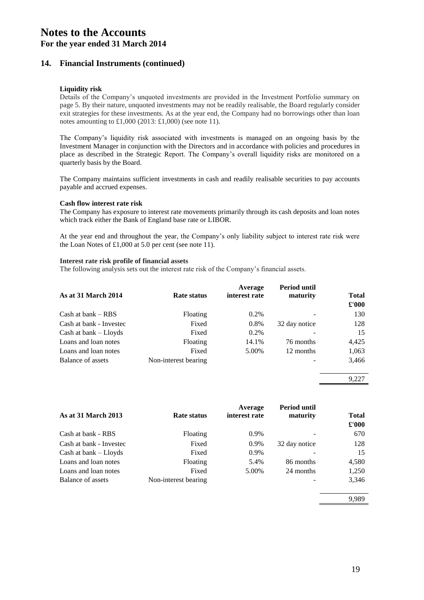# **14. Financial Instruments (continued)**

### **Liquidity risk**

Details of the Company's unquoted investments are provided in the Investment Portfolio summary on page 5. By their nature, unquoted investments may not be readily realisable, the Board regularly consider exit strategies for these investments. As at the year end, the Company had no borrowings other than loan notes amounting to  $\text{\pounds}1,000$  (2013:  $\text{\pounds}1,000$ ) (see note 11).

The Company's liquidity risk associated with investments is managed on an ongoing basis by the Investment Manager in conjunction with the Directors and in accordance with policies and procedures in place as described in the Strategic Report. The Company's overall liquidity risks are monitored on a quarterly basis by the Board.

The Company maintains sufficient investments in cash and readily realisable securities to pay accounts payable and accrued expenses.

### **Cash flow interest rate risk**

The Company has exposure to interest rate movements primarily through its cash deposits and loan notes which track either the Bank of England base rate or LIBOR.

At the year end and throughout the year, the Company's only liability subject to interest rate risk were the Loan Notes of £1,000 at 5.0 per cent (see note 11).

### **Interest rate risk profile of financial assets**

The following analysis sets out the interest rate risk of the Company's financial assets.

| <b>As at 31 March 2014</b> | Rate status          | Average<br>interest rate | Period until<br>maturity | <b>Total</b><br>$\pounds 000$ |
|----------------------------|----------------------|--------------------------|--------------------------|-------------------------------|
| $Cash$ at bank $-$ RBS     | Floating             | $0.2\%$                  |                          | 130                           |
| Cash at bank - Investec    | Fixed                | 0.8%                     | 32 day notice            | 128                           |
| Cash at bank – Lloyds      | Fixed                | $0.2\%$                  |                          | 15                            |
| Loans and loan notes       | Floating             | 14.1%                    | 76 months                | 4.425                         |
| Loans and loan notes       | Fixed                | 5.00%                    | 12 months                | 1,063                         |
| Balance of assets          | Non-interest bearing |                          |                          | 3,466                         |

9,227

| <b>As at 31 March 2013</b> | <b>Rate status</b>   | Average<br>interest rate | Period until<br>maturity | <b>Total</b><br>£'000 |
|----------------------------|----------------------|--------------------------|--------------------------|-----------------------|
| Cash at bank - RBS         | Floating             | 0.9%                     |                          | 670                   |
| Cash at bank - Investec    | Fixed                | 0.9%                     | 32 day notice            | 128                   |
| Cash at bank - Lloyds      | Fixed                | 0.9%                     |                          | 15                    |
| Loans and loan notes       | <b>Floating</b>      | 5.4%                     | 86 months                | 4,580                 |
| Loans and loan notes       | Fixed                | 5.00%                    | 24 months                | 1,250                 |
| Balance of assets          | Non-interest bearing |                          |                          | 3,346                 |
|                            |                      |                          |                          | 9.989                 |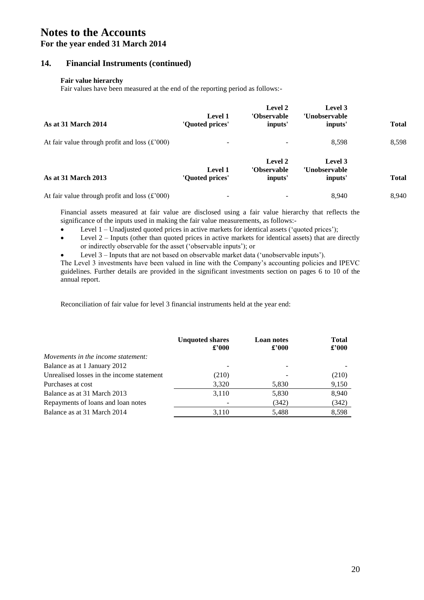# **Notes to the Accounts**

# **For the year ended 31 March 2014**

### **14. Financial Instruments (continued)**

### **Fair value hierarchy**

Fair values have been measured at the end of the reporting period as follows:-

| As at 31 March 2014                                           | Level 1<br>'Quoted prices'        | Level 2<br>'Observable<br>inputs' | Level 3<br>'Unobservable<br>inputs' | <b>Total</b> |
|---------------------------------------------------------------|-----------------------------------|-----------------------------------|-------------------------------------|--------------|
| At fair value through profit and loss $(\text{\pounds}^2000)$ |                                   |                                   | 8.598                               | 8,598        |
| <b>As at 31 March 2013</b>                                    | <b>Level 1</b><br>'Quoted prices' | Level 2<br>'Observable<br>inputs' | Level 3<br>'Unobservable<br>inputs' | <b>Total</b> |
| At fair value through profit and loss $(\text{\pounds}^2000)$ |                                   |                                   | 8.940                               | 8.940        |

Financial assets measured at fair value are disclosed using a fair value hierarchy that reflects the significance of the inputs used in making the fair value measurements, as follows:-

- Level 1 Unadjusted quoted prices in active markets for identical assets ('quoted prices');
- Level 2 Inputs (other than quoted prices in active markets for identical assets) that are directly or indirectly observable for the asset ('observable inputs'); or
- Level 3 Inputs that are not based on observable market data ('unobservable inputs').

The Level 3 investments have been valued in line with the Company's accounting policies and IPEVC guidelines. Further details are provided in the significant investments section on pages 6 to 10 of the annual report.

Reconciliation of fair value for level 3 financial instruments held at the year end:

|                                           | <b>Unquoted shares</b><br>$\pounds$ '000 | <b>Loan notes</b><br>$\pounds$ '000 | <b>Total</b><br>$\pounds$ '000 |
|-------------------------------------------|------------------------------------------|-------------------------------------|--------------------------------|
| Movements in the income statement:        |                                          |                                     |                                |
| Balance as at 1 January 2012              |                                          |                                     |                                |
| Unrealised losses in the income statement | (210)                                    |                                     | (210)                          |
| Purchases at cost                         | 3,320                                    | 5,830                               | 9,150                          |
| Balance as at 31 March 2013               | 3,110                                    | 5,830                               | 8,940                          |
| Repayments of loans and loan notes        |                                          | (342)                               | (342)                          |
| Balance as at 31 March 2014               | 3.110                                    | 5,488                               | 8,598                          |